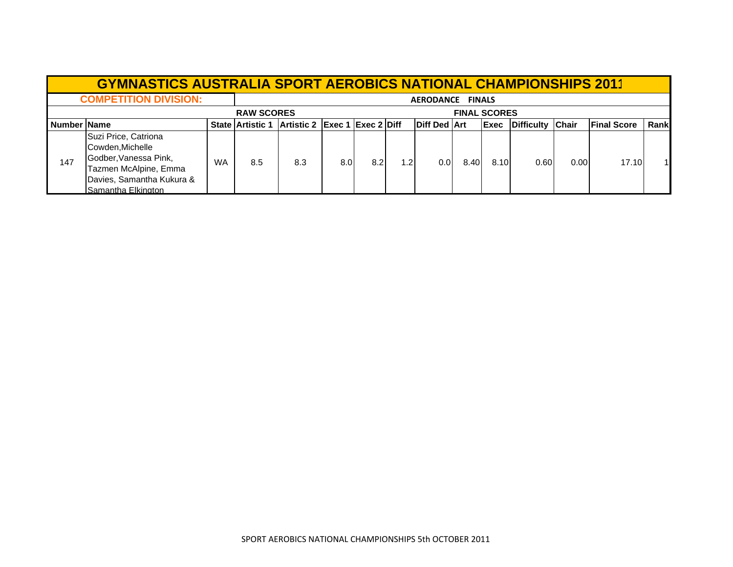|              | <b>GYMNASTICS AUSTRALIA SPORT AEROBICS NATIONAL CHAMPIONSHIPS 2011</b>                                                                        |                   |                         |                                      |      |                  |     |                       |                     |              |                  |      |                     |      |
|--------------|-----------------------------------------------------------------------------------------------------------------------------------------------|-------------------|-------------------------|--------------------------------------|------|------------------|-----|-----------------------|---------------------|--------------|------------------|------|---------------------|------|
|              | <b>COMPETITION DIVISION:</b>                                                                                                                  | AERODANCE FINALS  |                         |                                      |      |                  |     |                       |                     |              |                  |      |                     |      |
|              |                                                                                                                                               | <b>RAW SCORES</b> |                         |                                      |      |                  |     |                       | <b>FINAL SCORES</b> |              |                  |      |                     |      |
| Number IName |                                                                                                                                               |                   | <b>State Artistic 1</b> | <b>Artistic 2 Exec 1 Exec 2 Diff</b> |      |                  |     | <b>IDiff Ded IArt</b> |                     | <b>IExec</b> | Difficulty Chair |      | <b>IFinal Score</b> | Rank |
| 147          | Suzi Price, Catriona<br>Cowden, Michelle<br>Godber, Vanessa Pink,<br>Tazmen McAlpine, Emma<br>Davies, Samantha Kukura &<br>Samantha Elkington | <b>WA</b>         | 8.5                     | 8.3                                  | 8.0I | 8.2 <sub>l</sub> | 1.2 | 0.01                  | 8.40                | 8.10         | 0.60             | 0.00 | 17.10               |      |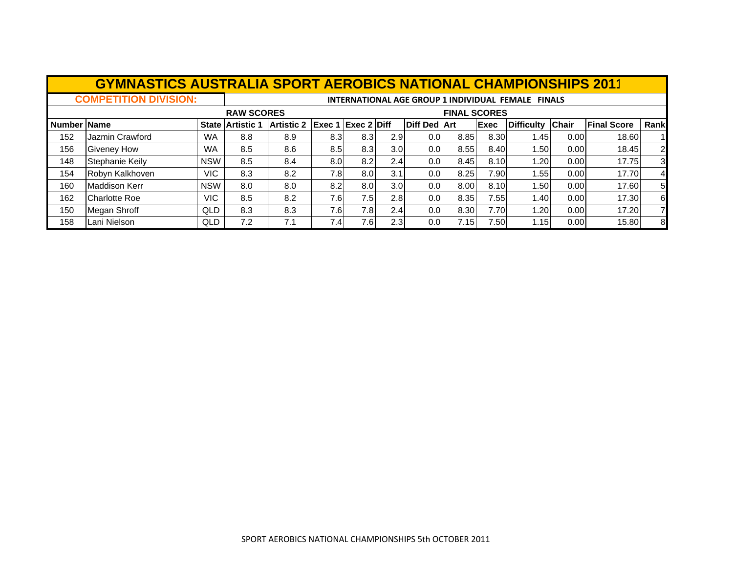|             | <b>GYMNASTICS AUSTRALIA SPORT AEROBICS NATIONAL CHAMPIONSHIPS 2011</b> |            |                                                    |                               |     |     |     |                     |                     |      |                   |              |                    |                |
|-------------|------------------------------------------------------------------------|------------|----------------------------------------------------|-------------------------------|-----|-----|-----|---------------------|---------------------|------|-------------------|--------------|--------------------|----------------|
|             | <b>COMPETITION DIVISION:</b>                                           |            | INTERNATIONAL AGE GROUP 1 INDIVIDUAL FEMALE FINALS |                               |     |     |     |                     |                     |      |                   |              |                    |                |
|             |                                                                        |            | <b>RAW SCORES</b>                                  |                               |     |     |     |                     | <b>FINAL SCORES</b> |      |                   |              |                    |                |
| Number Name |                                                                        |            | <b>State Artistic 1</b>                            | Artistic 2 Exec 1 Exec 2 Diff |     |     |     | <b>Diff Ded Art</b> |                     | Exec | <b>Difficulty</b> | <b>Chair</b> | <b>Final Score</b> | Rank           |
| 152         | Jazmin Crawford                                                        | <b>WA</b>  | 8.8                                                | 8.9                           | 8.3 | 8.3 | 2.9 | 0.01                | 8.85                | 8.30 | 1.45              | 0.00         | 18.60              |                |
| 156         | <b>Giveney How</b>                                                     | <b>WA</b>  | 8.5                                                | 8.6                           | 8.5 | 8.3 | 3.0 | 0.0                 | 8.55                | 8.40 | 1.50              | 0.00         | 18.45              | $\overline{2}$ |
| 148         | Stephanie Keily                                                        | <b>NSW</b> | 8.5                                                | 8.4                           | 8.0 | 8.2 | 2.4 | 0.01                | 8.45                | 8.10 | 1.20              | 0.00         | 17.75              | $\overline{3}$ |
| 154         | Robyn Kalkhoven                                                        | VIC.       | 8.3                                                | 8.2                           | 7.8 | 8.0 | 3.1 | 0.0 <sub>l</sub>    | 8.25                | 7.90 | 1.55              | 0.00         | 17.70              | $\overline{4}$ |
| 160         | <b>Maddison Kerr</b>                                                   | <b>NSW</b> | 8.0                                                | 8.0                           | 8.2 | 8.0 | 3.0 | 0.01                | 8.00                | 8.10 | 1.50              | 0.00         | 17.60              | 5 <sub>l</sub> |
| 162         | <b>Charlotte Roe</b>                                                   | VIC.       | 8.5                                                | 8.2                           | 7.6 | 7.5 | 2.8 | 0.01                | 8.35                | 7.55 | 1.40              | 0.00         | 17.30              | 6              |
| 150         | Megan Shroff                                                           | QLD        | 8.3                                                | 8.3                           | 7.6 | 7.8 | 2.4 | 0.01                | 8.30                | 7.70 | 1.20              | 0.00         | 17.20              | 7              |
| 158         | Lani Nielson                                                           | QLD        | 7.2                                                | 7.1                           | 7.4 | 7.6 | 2.3 | 0.0 <sub>l</sub>    | 7.15                | 7.50 | 1.15              | 0.00         | 15.80              | 8              |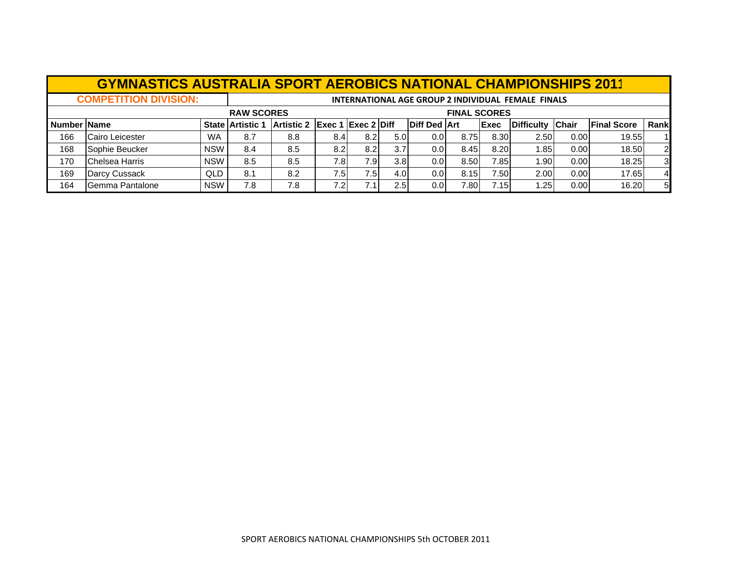|                              | <b>GYMNASTICS AUSTRALIA SPORT AEROBICS NATIONAL CHAMPIONSHIPS 2011</b> |                     |                         |                               |                  |      |                  |                                                    |      |              |                    |              |                    |                |  |
|------------------------------|------------------------------------------------------------------------|---------------------|-------------------------|-------------------------------|------------------|------|------------------|----------------------------------------------------|------|--------------|--------------------|--------------|--------------------|----------------|--|
| <b>COMPETITION DIVISION:</b> |                                                                        |                     |                         |                               |                  |      |                  | INTERNATIONAL AGE GROUP 2 INDIVIDUAL FEMALE FINALS |      |              |                    |              |                    |                |  |
|                              |                                                                        | <b>FINAL SCORES</b> |                         |                               |                  |      |                  |                                                    |      |              |                    |              |                    |                |  |
| Number IName                 |                                                                        |                     | <b>State Artistic 1</b> | Artistic 2 Exec 1 Exec 2 Diff |                  |      |                  | <b>Diff Ded Art</b>                                |      | <b>IExec</b> | <b>IDifficulty</b> | <b>Chair</b> | <b>Final Score</b> | Rank           |  |
| 166                          | Cairo Leicester                                                        | <b>WA</b>           | 8.7                     | 8.8                           | 8.4              | 8.21 | 5.0 <sub>l</sub> | 0.01                                               | 8.75 | 8.30         | 2.50               | 0.001        | 19.55              |                |  |
| 168                          | Sophie Beucker                                                         | <b>NSW</b>          | 8.4                     | 8.5                           | 8.2 <sub>l</sub> | 8.21 | 3.7              | 0.01                                               | 8.45 | 8.20         | 1.85 l             | 0.00         | 18.50              | $\overline{2}$ |  |
| 170                          | <b>Chelsea Harris</b>                                                  | <b>NSW</b>          | 8.5                     | 8.5                           | 7.8I             | 7.9I | 3.8 <sub>l</sub> | 0.0 <sub>l</sub>                                   | 8.50 | 7.85         | 1.90               | 0.00         | 18.25              | 3              |  |
| 169                          | Darcy Cussack                                                          | QLD                 | 8.1                     | 8.2                           | 7.5I             | 7.5I | 4.0 <sub>l</sub> | 0.0 <sub>l</sub>                                   | 8.15 | 7.50         | 2.00               | 0.00         | 17.65              | $\overline{4}$ |  |
| 164                          | Gemma Pantalone                                                        | <b>NSW</b>          | 7.8                     | 7.8                           | 7.2I             |      | 2.5              | 0.01                                               | 7.80 | 7.151        | 1.25               | 0.00         | 16.20              | 5              |  |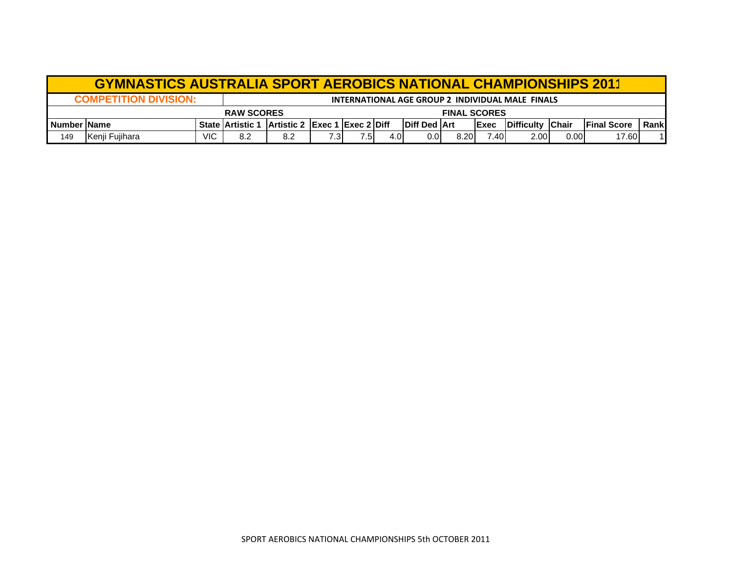|                | <b>GYMNASTICS AUSTRALIA SPORT AEROBICS NATIONAL CHAMPIONSHIPS 2011</b> |                                                  |                         |                                      |      |      |      |                       |      |              |                   |      |                     |       |  |
|----------------|------------------------------------------------------------------------|--------------------------------------------------|-------------------------|--------------------------------------|------|------|------|-----------------------|------|--------------|-------------------|------|---------------------|-------|--|
|                | <b>COMPETITION DIVISION:</b>                                           | INTERNATIONAL AGE GROUP 2 INDIVIDUAL MALE FINALS |                         |                                      |      |      |      |                       |      |              |                   |      |                     |       |  |
|                |                                                                        | <b>FINAL SCORES</b>                              |                         |                                      |      |      |      |                       |      |              |                   |      |                     |       |  |
| I Number IName |                                                                        |                                                  | <b>State Artistic 1</b> | <b>Artistic 2 Exec 1 Exec 2 Diff</b> |      |      |      | <b>IDiff Ded IArt</b> |      | <b>IExec</b> | Difficulty Chair  |      | <b>IFinal Score</b> | Rankl |  |
| 149            | Kenji Fujihara                                                         | VIC                                              | 8.2                     | 8.2                                  | ا3.3 | 7.5. | 4.OI | 0.0                   | 8.20 | 7.401        | 2.00 <sub>l</sub> | 0.00 | 17.60               |       |  |